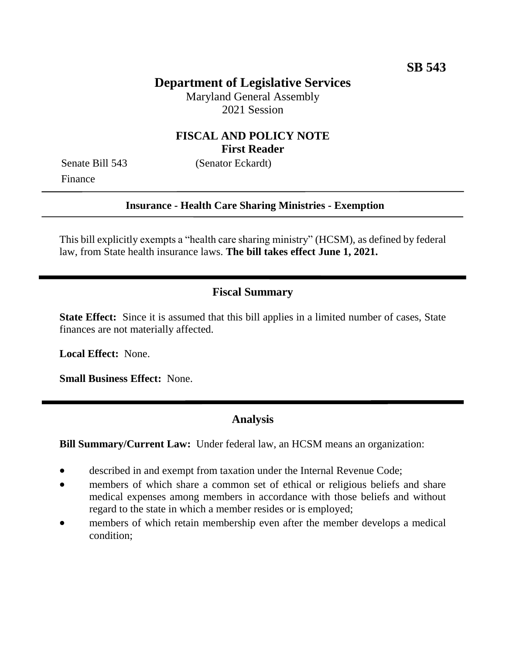# **Department of Legislative Services**

Maryland General Assembly 2021 Session

#### **FISCAL AND POLICY NOTE First Reader**

Finance

Senate Bill 543 (Senator Eckardt)

#### **Insurance - Health Care Sharing Ministries - Exemption**

This bill explicitly exempts a "health care sharing ministry" (HCSM), as defined by federal law, from State health insurance laws. **The bill takes effect June 1, 2021.**

## **Fiscal Summary**

**State Effect:** Since it is assumed that this bill applies in a limited number of cases, State finances are not materially affected.

**Local Effect:** None.

**Small Business Effect:** None.

### **Analysis**

**Bill Summary/Current Law:** Under federal law, an HCSM means an organization:

- described in and exempt from taxation under the Internal Revenue Code;
- members of which share a common set of ethical or religious beliefs and share medical expenses among members in accordance with those beliefs and without regard to the state in which a member resides or is employed;
- members of which retain membership even after the member develops a medical condition;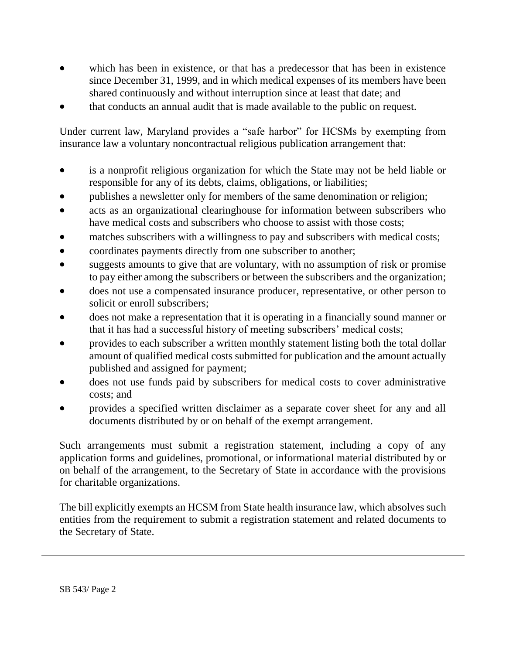- which has been in existence, or that has a predecessor that has been in existence since December 31, 1999, and in which medical expenses of its members have been shared continuously and without interruption since at least that date; and
- that conducts an annual audit that is made available to the public on request.

Under current law, Maryland provides a "safe harbor" for HCSMs by exempting from insurance law a voluntary noncontractual religious publication arrangement that:

- is a nonprofit religious organization for which the State may not be held liable or responsible for any of its debts, claims, obligations, or liabilities;
- publishes a newsletter only for members of the same denomination or religion;
- acts as an organizational clearinghouse for information between subscribers who have medical costs and subscribers who choose to assist with those costs;
- matches subscribers with a willingness to pay and subscribers with medical costs;
- coordinates payments directly from one subscriber to another;
- suggests amounts to give that are voluntary, with no assumption of risk or promise to pay either among the subscribers or between the subscribers and the organization;
- does not use a compensated insurance producer, representative, or other person to solicit or enroll subscribers;
- does not make a representation that it is operating in a financially sound manner or that it has had a successful history of meeting subscribers' medical costs;
- provides to each subscriber a written monthly statement listing both the total dollar amount of qualified medical costs submitted for publication and the amount actually published and assigned for payment;
- does not use funds paid by subscribers for medical costs to cover administrative costs; and
- provides a specified written disclaimer as a separate cover sheet for any and all documents distributed by or on behalf of the exempt arrangement.

Such arrangements must submit a registration statement, including a copy of any application forms and guidelines, promotional, or informational material distributed by or on behalf of the arrangement, to the Secretary of State in accordance with the provisions for charitable organizations.

The bill explicitly exempts an HCSM from State health insurance law, which absolves such entities from the requirement to submit a registration statement and related documents to the Secretary of State.